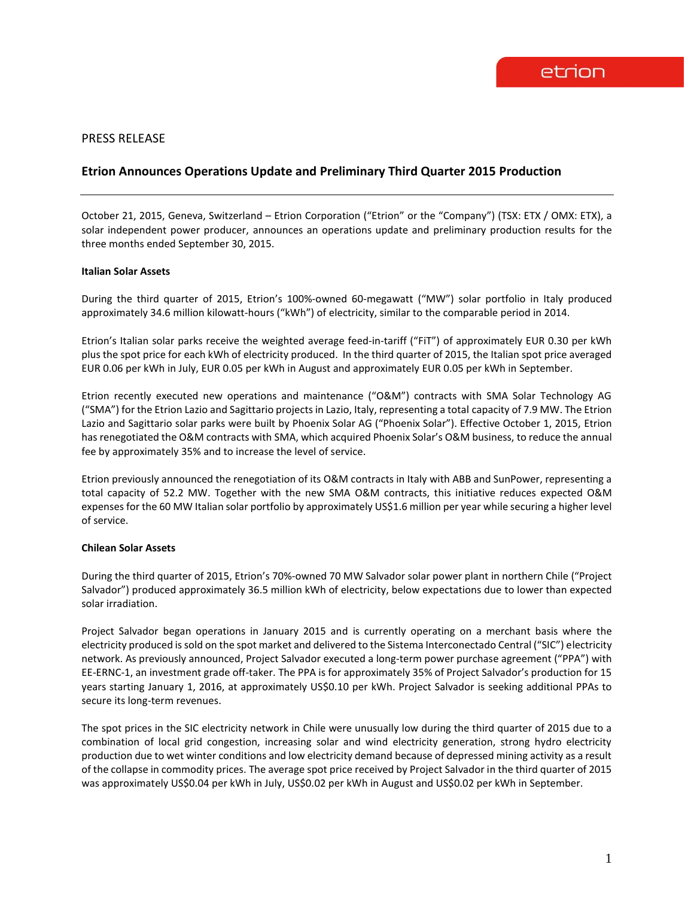## PRESS RELEASE

# **Etrion Announces Operations Update and Preliminary Third Quarter 2015 Production**

October 21, 2015, Geneva, Switzerland – Etrion Corporation ("Etrion" or the "Company") (TSX: ETX / OMX: ETX), a solar independent power producer, announces an operations update and preliminary production results for the three months ended September 30, 2015.

#### **Italian Solar Assets**

During the third quarter of 2015, Etrion's 100%-owned 60-megawatt ("MW") solar portfolio in Italy produced approximately 34.6 million kilowatt-hours ("kWh") of electricity, similar to the comparable period in 2014.

Etrion's Italian solar parks receive the weighted average feed-in-tariff ("FiT") of approximately EUR 0.30 per kWh plus the spot price for each kWh of electricity produced. In the third quarter of 2015, the Italian spot price averaged EUR 0.06 per kWh in July, EUR 0.05 per kWh in August and approximately EUR 0.05 per kWh in September.

Etrion recently executed new operations and maintenance ("O&M") contracts with SMA Solar Technology AG ("SMA") for the Etrion Lazio and Sagittario projects in Lazio, Italy, representing a total capacity of 7.9 MW. The Etrion Lazio and Sagittario solar parks were built by Phoenix Solar AG ("Phoenix Solar"). Effective October 1, 2015, Etrion has renegotiated the O&M contracts with SMA, which acquired Phoenix Solar's O&M business, to reduce the annual fee by approximately 35% and to increase the level of service.

Etrion previously announced the renegotiation of its O&M contracts in Italy with ABB and SunPower, representing a total capacity of 52.2 MW. Together with the new SMA O&M contracts, this initiative reduces expected O&M expenses for the 60 MW Italian solar portfolio by approximately US\$1.6 million per year while securing a higher level of service.

#### **Chilean Solar Assets**

During the third quarter of 2015, Etrion's 70%-owned 70 MW Salvador solar power plant in northern Chile ("Project Salvador") produced approximately 36.5 million kWh of electricity, below expectations due to lower than expected solar irradiation.

Project Salvador began operations in January 2015 and is currently operating on a merchant basis where the electricity produced is sold on the spot market and delivered to the Sistema Interconectado Central ("SIC") electricity network. As previously announced, Project Salvador executed a long-term power purchase agreement ("PPA") with EE-ERNC-1, an investment grade off-taker. The PPA is for approximately 35% of Project Salvador's production for 15 years starting January 1, 2016, at approximately US\$0.10 per kWh. Project Salvador is seeking additional PPAs to secure its long-term revenues.

The spot prices in the SIC electricity network in Chile were unusually low during the third quarter of 2015 due to a combination of local grid congestion, increasing solar and wind electricity generation, strong hydro electricity production due to wet winter conditions and low electricity demand because of depressed mining activity as a result of the collapse in commodity prices. The average spot price received by Project Salvador in the third quarter of 2015 was approximately US\$0.04 per kWh in July, US\$0.02 per kWh in August and US\$0.02 per kWh in September.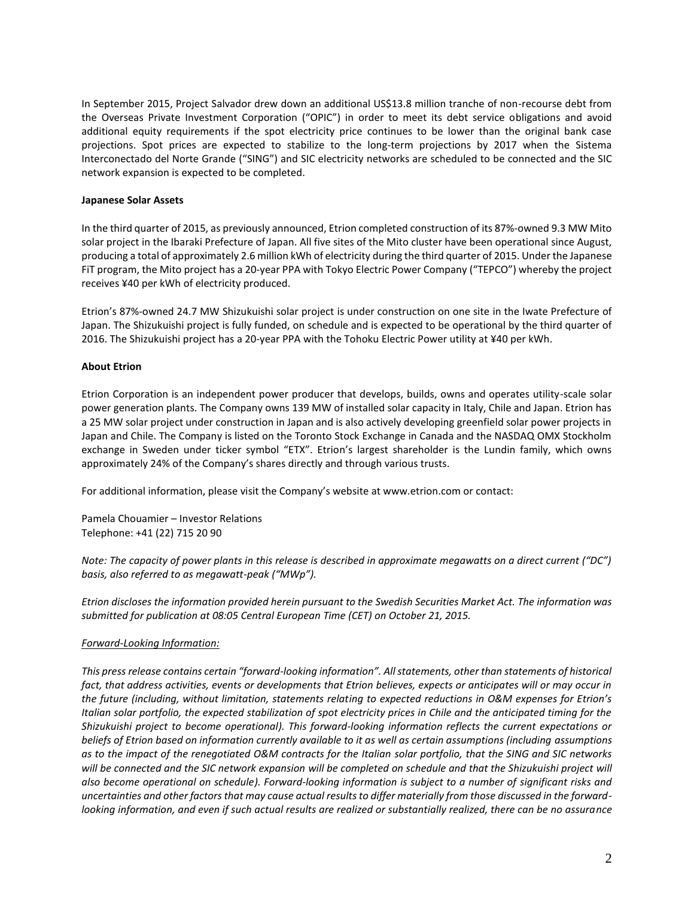In September 2015, Project Salvador drew down an additional US\$13.8 million tranche of non-recourse debt from the Overseas Private Investment Corporation ("OPIC") in order to meet its debt service obligations and avoid additional equity requirements if the spot electricity price continues to be lower than the original bank case projections. Spot prices are expected to stabilize to the long-term projections by 2017 when the Sistema Interconectado del Norte Grande ("SING") and SIC electricity networks are scheduled to be connected and the SIC network expansion is expected to be completed.

### **Japanese Solar Assets**

In the third quarter of 2015, as previously announced, Etrion completed construction of its 87%-owned 9.3 MW Mito solar project in the Ibaraki Prefecture of Japan. All five sites of the Mito cluster have been operational since August, producing a total of approximately 2.6 million kWh of electricity during the third quarter of 2015. Under the Japanese FiT program, the Mito project has a 20-year PPA with Tokyo Electric Power Company ("TEPCO") whereby the project receives ¥40 per kWh of electricity produced.

Etrion's 87%-owned 24.7 MW Shizukuishi solar project is under construction on one site in the Iwate Prefecture of Japan. The Shizukuishi project is fully funded, on schedule and is expected to be operational by the third quarter of 2016. The Shizukuishi project has a 20-year PPA with the Tohoku Electric Power utility at ¥40 per kWh.

## **About Etrion**

Etrion Corporation is an independent power producer that develops, builds, owns and operates utility-scale solar power generation plants. The Company owns 139 MW of installed solar capacity in Italy, Chile and Japan. Etrion has a 25 MW solar project under construction in Japan and is also actively developing greenfield solar power projects in Japan and Chile. The Company is listed on the Toronto Stock Exchange in Canada and the NASDAQ OMX Stockholm exchange in Sweden under ticker symbol "ETX". Etrion's largest shareholder is the Lundin family, which owns approximately 24% of the Company's shares directly and through various trusts.

For additional information, please visit the Company's website at www.etrion.com or contact:

Pamela Chouamier – Investor Relations Telephone: +41 (22) 715 20 90

*Note: The capacity of power plants in this release is described in approximate megawatts on a direct current ("DC") basis, also referred to as megawatt-peak ("MWp").*

*Etrion discloses the information provided herein pursuant to the Swedish Securities Market Act. The information was submitted for publication at 08:05 Central European Time (CET) on October 21, 2015.*

#### *Forward-Looking Information:*

*This press release contains certain "forward-looking information". All statements, other than statements of historical*  fact, that address activities, events or developments that Etrion believes, expects or anticipates will or may occur in *the future (including, without limitation, statements relating to expected reductions in O&M expenses for Etrion's Italian solar portfolio, the expected stabilization of spot electricity prices in Chile and the anticipated timing for the Shizukuishi project to become operational). This forward-looking information reflects the current expectations or beliefs of Etrion based on information currently available to it as well as certain assumptions (including assumptions as to the impact of the renegotiated O&M contracts for the Italian solar portfolio, that the SING and SIC networks will be connected and the SIC network expansion will be completed on schedule and that the Shizukuishi project will also become operational on schedule). Forward-looking information is subject to a number of significant risks and uncertainties and other factors that may cause actual results to differ materially from those discussed in the forwardlooking information, and even if such actual results are realized or substantially realized, there can be no assurance*